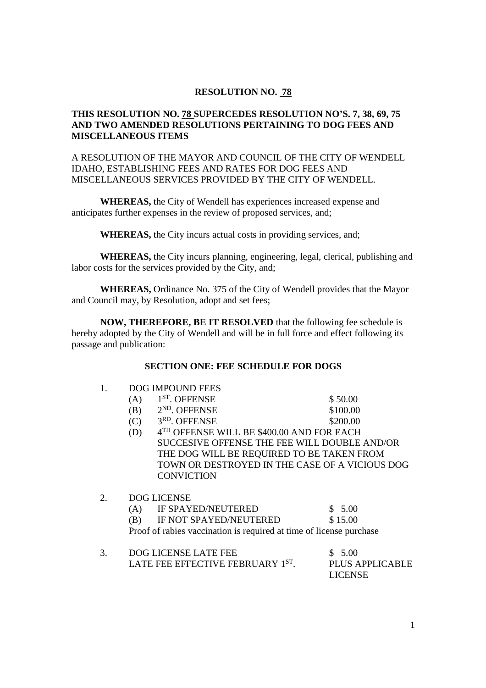# **RESOLUTION NO. 78**

# **THIS RESOLUTION NO. 78 SUPERCEDES RESOLUTION NO'S. 7, 38, 69, 75 AND TWO AMENDED RESOLUTIONS PERTAINING TO DOG FEES AND MISCELLANEOUS ITEMS**

# A RESOLUTION OF THE MAYOR AND COUNCIL OF THE CITY OF WENDELL IDAHO, ESTABLISHING FEES AND RATES FOR DOG FEES AND MISCELLANEOUS SERVICES PROVIDED BY THE CITY OF WENDELL.

 **WHEREAS,** the City of Wendell has experiences increased expense and anticipates further expenses in the review of proposed services, and;

**WHEREAS,** the City incurs actual costs in providing services, and;

 **WHEREAS,** the City incurs planning, engineering, legal, clerical, publishing and labor costs for the services provided by the City, and;

**WHEREAS,** Ordinance No. 375 of the City of Wendell provides that the Mayor and Council may, by Resolution, adopt and set fees;

**NOW, THEREFORE, BE IT RESOLVED** that the following fee schedule is hereby adopted by the City of Wendell and will be in full force and effect following its passage and publication:

# **SECTION ONE: FEE SCHEDULE FOR DOGS**

1. DOG IMPOUND FEES

|    | (A)                                                                 | 1 <sup>ST</sup> . OFFENSE                 | \$50.00  |  |  |
|----|---------------------------------------------------------------------|-------------------------------------------|----------|--|--|
|    | (B)                                                                 | $2ND$ . OFFENSE                           | \$100.00 |  |  |
|    | (C)                                                                 | 3RD. OFFENSE                              | \$200.00 |  |  |
|    | (D)                                                                 | 4TH OFFENSE WILL BE \$400.00 AND FOR EACH |          |  |  |
|    | SUCCESIVE OFFENSE THE FEE WILL DOUBLE AND/OR                        |                                           |          |  |  |
|    | THE DOG WILL BE REQUIRED TO BE TAKEN FROM                           |                                           |          |  |  |
|    | TOWN OR DESTROYED IN THE CASE OF A VICIOUS DOG                      |                                           |          |  |  |
|    |                                                                     | <b>CONVICTION</b>                         |          |  |  |
| 2. | <b>DOG LICENSE</b>                                                  |                                           |          |  |  |
|    | (A)                                                                 | <b>IF SPAYED/NEUTERED</b>                 | \$5.00   |  |  |
|    | (B)                                                                 | IF NOT SPAYED/NEUTERED                    | \$15.00  |  |  |
|    | Proof of rabies vaccination is required at time of license purchase |                                           |          |  |  |
|    |                                                                     |                                           |          |  |  |

| DOG LICENSE LATE FEE             | \$5.00           |
|----------------------------------|------------------|
| LATE FEE EFFECTIVE FEBRUARY 1ST. | PLUS APPLICABLE  |
|                                  | LICENSE <b>L</b> |